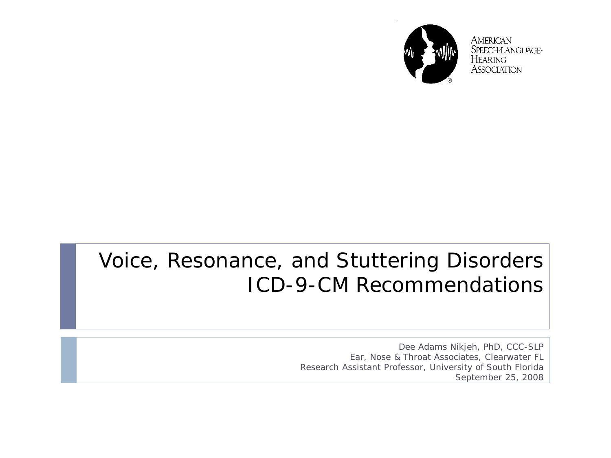

**AMERICAN** SPEECH-LANGUAGE-**HEARING ASSOCIATION** 

#### Voice, Resonance, and Stuttering Disorders ICD-9-CM Recommendations

Dee Adams Nikjeh, PhD, CCC-SLP Ear, Nose & Throat Associates, Clearwater FL Research Assistant Professor, University of South Florida September 25, 2008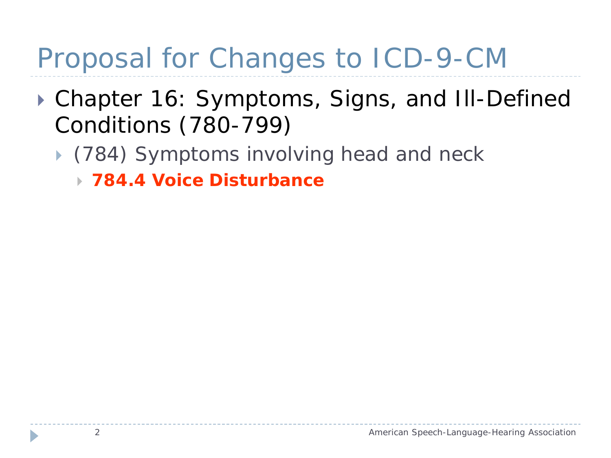## Proposal for Changes to ICD-9-CM

- ▶ Chapter 16: Symptoms, Signs, and III-Defined Conditions (780-799)
	- ▶ (784) Symptoms involving head and neck
		- *784.4 Voice Disturbance*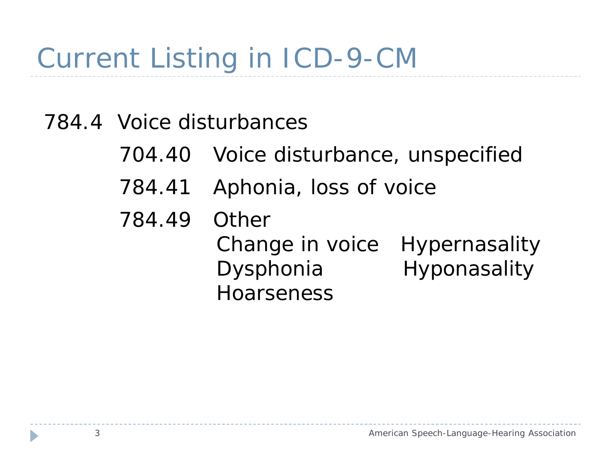# Current Listing in ICD-9-CM

- 784.4 Voice disturbances
	- 704.40 Voice disturbance, unspecified
	- 784.41 Aphonia, loss of voice
	- 784.49 Other Change in voice Hypernasality Dysphonia Hyponasality Hoarseness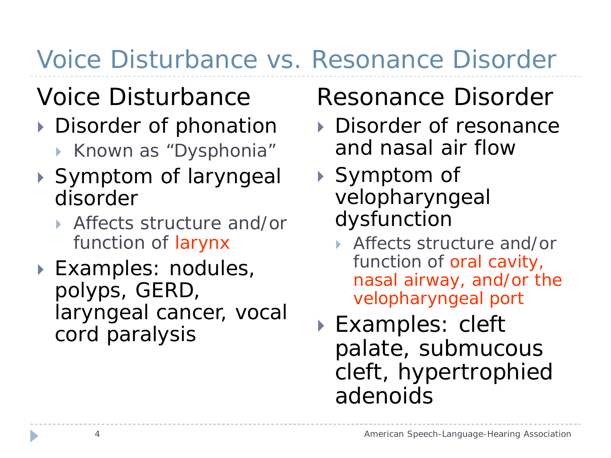### Voice Disturbance vs. Resonance Disorder

### *Voice Disturbance*

- Disorder of phonation
	- ▶ Known as "Dysphonia"
- ▶ Symptom of laryngeal disorder
	- Affects structure and/or function of *larynx*
- Examples: nodules, polyps, GERD, laryngeal cancer, vocal cord paralysis

#### *Resonance Disorder*

- ▶ Disorder of resonance and nasal air flow
- ▶ Symptom of velopharyngeal dysfunction
	- ▶ Affects structure and/or function of *oral cavity, nasal airway, and/or the velopharyngeal port*
- ▶ Examples: cleft palate, submucous cleft, hypertrophied adenoids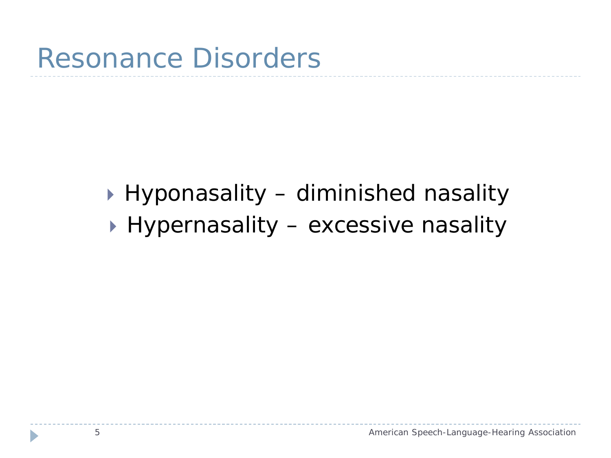#### Hyponasality – diminished nasality

▶ Hypernasality – excessive nasality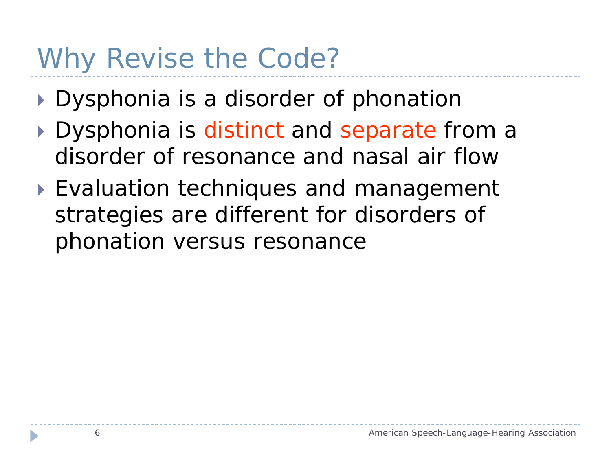### Why Revise the Code?

- Dysphonia is a disorder of phonation
- Dysphonia is *distinct* and *separate* from a disorder of resonance and nasal air flow
- ▶ Evaluation techniques and management strategies are different for disorders of phonation versus resonance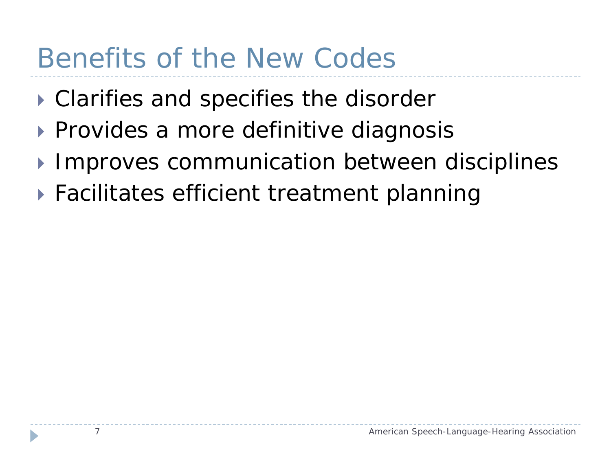### Benefits of the New Codes

- ▶ Clarifies and specifies the disorder
- ▶ Provides a more definitive diagnosis
- **Improves communication between disciplines**
- Facilitates efficient treatment planning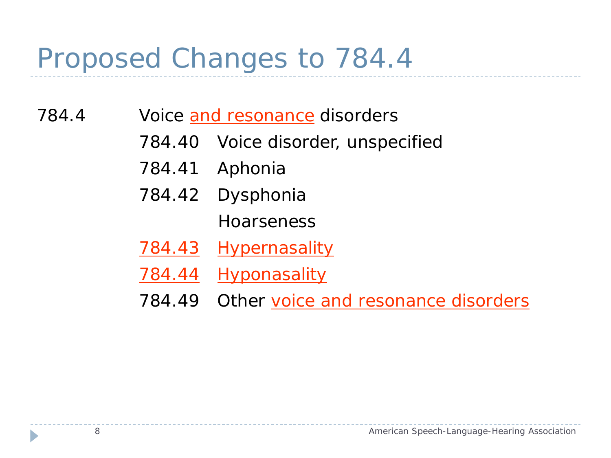### Proposed Changes to 784.4

- 784.4 Voice and resonance disorders
	- 784.40 Voice disorder, unspecified
	- 784.41 Aphonia
	- 784.42 Dysphonia

**Hoarseness** 

- 784.43 Hypernasality
- 784.44 Hyponasality
- 784.49 Other voice and resonance disorders